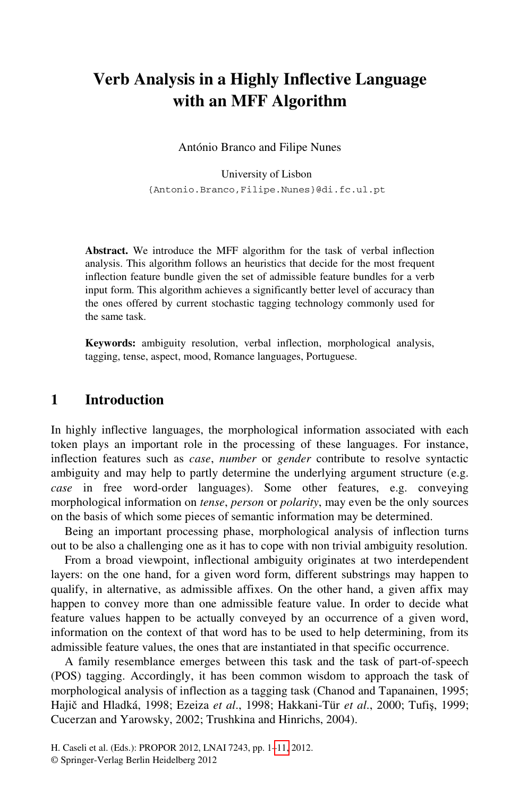# **Verb Analysis in a Highly Inflective Language with an MFF Algorithm**

António Branco and Filipe Nunes

University of Lisbon {Antonio.Branco,Filipe.Nunes}@di.fc.ul.pt

**Abstract.** We introduce the MFF algorithm for the task of verbal inflection analysis. This algorithm follows an heuristics that decide for the most frequent inflection feature bundle given the set of admissible feature bundles for a verb input form. This algorithm achieves a significantly better level of accuracy than the ones offered by current stochastic tagging technology commonly used for the same task.

**Keywords:** ambiguity resolution, verbal inflection, morphological analysis, tagging, tense, aspect, mood, Romance languages, Portuguese.

## **1 Introduction**

In highly inflective languages, the morphological information associated with each token plays an important role in the processing of these languages. For instance, inflection features such as *case*, *number* or *gender* contribute to resolve syntactic ambiguity and may help to partly determine the underlying argument structure (e.g. *case* in free word-order languages). Some other features, e.g. conveying morphological information on *tense*, *person* or *polarity*, may even be the only sources on the basis of which some pieces of semantic information may be determined.

Being an important processing phase, morphological analysis of inflection turns out to be also a challenging one as it has to cope with non trivial ambiguity resolution.

From a broad viewpoint, inflectional ambiguity originates at two interdependent layers: on the one hand, for a given word form, different substrings may happen to qualify, in alternative, as admissible affixes. On the other hand, a given affix may happen to convey more than one admissible feature value. In order to decide what feature values happen to be actually conveyed by an occurrence of a given word, information on the conte[xt o](#page-10-0)f that word has to be used to help determining, from its admissible feature values, the ones that are instantiated in that specific occurrence.

A family resemblance emerges between this task and the task of part-of-speech (POS) tagging. Accordingly, it has been common wisdom to approach the task of morphological analysis of inflection as a tagging task (Chanod and Tapanainen, 1995; Hajič and Hladká, 1998; Ezeiza *et al*., 1998; Hakkani-Tür *et al*., 2000; Tufiş, 1999; Cucerzan and Yarowsky, 2002; Trushkina and Hinrichs, 2004).

H. Caseli et al. (Eds.): PROPOR 2012, LNAI 7243, pp. 1–11, 2012. © Springer-Verlag Berlin Heidelberg 2012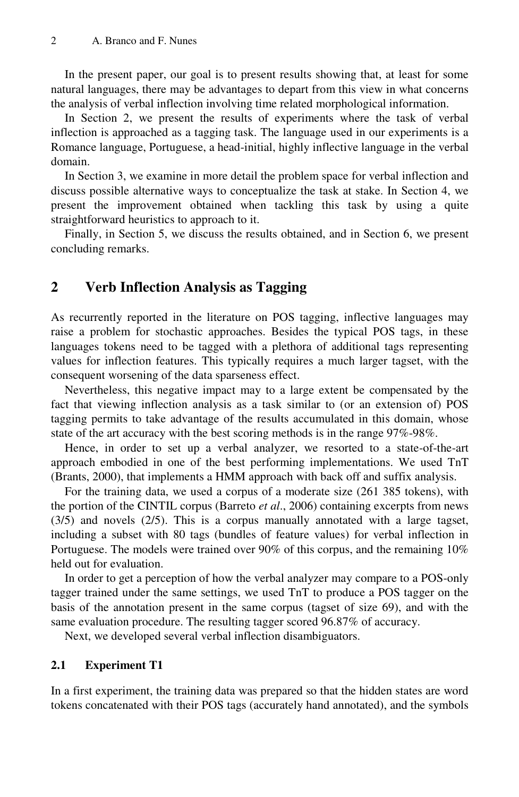In the present paper, our goal is to present results showing that, at least for some natural languages, there may be advantages to depart from this view in what concerns the analysis of verbal inflection involving time related morphological information.

In Section 2, we present the results of experiments where the task of verbal inflection is approached as a tagging task. The language used in our experiments is a Romance language, Portuguese, a head-initial, highly inflective language in the verbal domain.

In Section 3, we examine in more detail the problem space for verbal inflection and discuss possible alternative ways to conceptualize the task at stake. In Section 4, we present the improvement obtained when tackling this task by using a quite straightforward heuristics to approach to it.

Finally, in Section 5, we discuss the results obtained, and in Section 6, we present concluding remarks.

# **2 Verb Inflection Analysis as Tagging**

As recurrently reported in the literature on POS tagging, inflective languages may raise a problem for stochastic approaches. Besides the typical POS tags, in these languages tokens need to be tagged with a plethora of additional tags representing values for inflection features. This typically requires a much larger tagset, with the consequent worsening of the data sparseness effect.

Nevertheless, this negative impact may to a large extent be compensated by the fact that viewing inflection analysis as a task similar to (or an extension of) POS tagging permits to take advantage of the results accumulated in this domain, whose state of the art accuracy with the best scoring methods is in the range 97%-98%.

Hence, in order to set up a verbal analyzer, we resorted to a state-of-the-art approach embodied in one of the best performing implementations. We used TnT (Brants, 2000), that implements a HMM approach with back off and suffix analysis.

For the training data, we used a corpus of a moderate size (261 385 tokens), with the portion of the CINTIL corpus (Barreto *et al*., 2006) containing excerpts from news (3/5) and novels (2/5). This is a corpus manually annotated with a large tagset, including a subset with 80 tags (bundles of feature values) for verbal inflection in Portuguese. The models were trained over 90% of this corpus, and the remaining 10% held out for evaluation.

In order to get a perception of how the verbal analyzer may compare to a POS-only tagger trained under the same settings, we used TnT to produce a POS tagger on the basis of the annotation present in the same corpus (tagset of size 69), and with the same evaluation procedure. The resulting tagger scored 96.87% of accuracy.

Next, we developed several verbal inflection disambiguators.

#### **2.1 Experiment T1**

In a first experiment, the training data was prepared so that the hidden states are word tokens concatenated with their POS tags (accurately hand annotated), and the symbols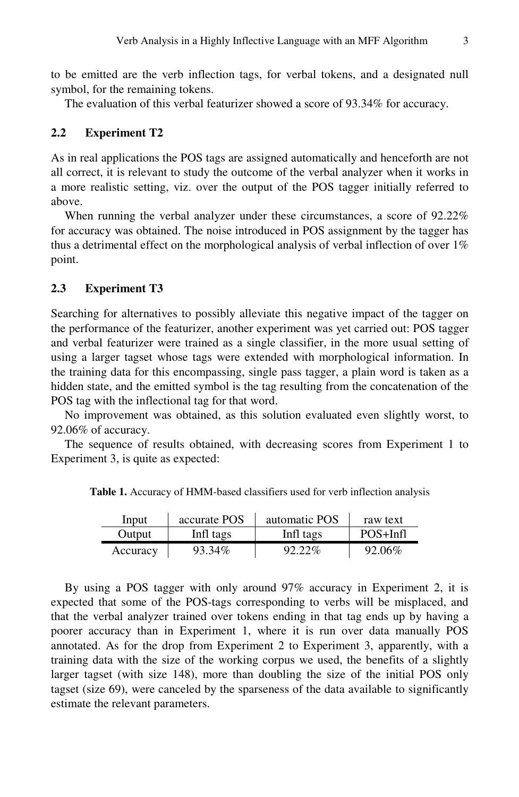to be emitted are the verb inflection tags, for verbal tokens, and a designated null symbol, for the remaining tokens.

The evaluation of this verbal featurizer showed a score of 93.34% for accuracy.

#### **2.2 Experiment T2**

As in real applications the POS tags are assigned automatically and henceforth are not all correct, it is relevant to study the outcome of the verbal analyzer when it works in a more realistic setting, viz. over the output of the POS tagger initially referred to above.

When running the verbal analyzer under these circumstances, a score of  $92.22\%$ for accuracy was obtained. The noise introduced in POS assignment by the tagger has thus a detrimental effect on the morphological analysis of verbal inflection of over 1% point.

#### **2.3 Experiment T3**

Searching for alternatives to possibly alleviate this negative impact of the tagger on the performance of the featurizer, another experiment was yet carried out: POS tagger and verbal featurizer were trained as a single classifier, in the more usual setting of using a larger tagset whose tags were extended with morphological information. In the training data for this encompassing, single pass tagger, a plain word is taken as a hidden state, and the emitted symbol is the tag resulting from the concatenation of the POS tag with the inflectional tag for that word.

No improvement was obtained, as this solution evaluated even slightly worst, to 92.06% of accuracy.

The sequence of results obtained, with decreasing scores from Experiment 1 to Experiment 3, is quite as expected:

| Input    | accurate POS | automatic POS | raw text   |
|----------|--------------|---------------|------------|
| Output   | Infl tags    | Infl tags     | $POS+Infl$ |
| Accuracy | 93.34%       | $92.22\%$     | 92.06%     |

**Table 1.** Accuracy of HMM-based classifiers used for verb inflection analysis

By using a POS tagger with only around 97% accuracy in Experiment 2, it is expected that some of the POS-tags corresponding to verbs will be misplaced, and that the verbal analyzer trained over tokens ending in that tag ends up by having a poorer accuracy than in Experiment 1, where it is run over data manually POS annotated. As for the drop from Experiment 2 to Experiment 3, apparently, with a training data with the size of the working corpus we used, the benefits of a slightly larger tagset (with size 148), more than doubling the size of the initial POS only tagset (size 69), were canceled by the sparseness of the data available to significantly estimate the relevant parameters.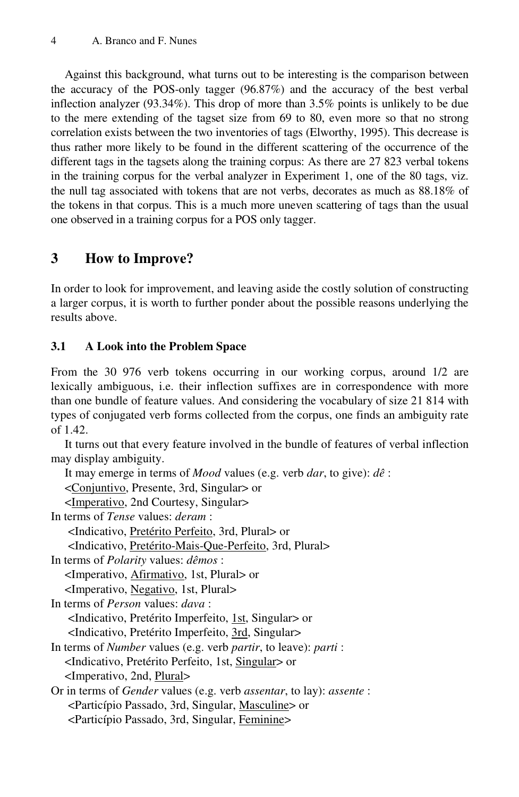Against this background, what turns out to be interesting is the comparison between the accuracy of the POS-only tagger (96.87%) and the accuracy of the best verbal inflection analyzer (93.34%). This drop of more than 3.5% points is unlikely to be due to the mere extending of the tagset size from 69 to 80, even more so that no strong correlation exists between the two inventories of tags (Elworthy, 1995). This decrease is thus rather more likely to be found in the different scattering of the occurrence of the different tags in the tagsets along the training corpus: As there are 27 823 verbal tokens in the training corpus for the verbal analyzer in Experiment 1, one of the 80 tags, viz. the null tag associated with tokens that are not verbs, decorates as much as 88.18% of the tokens in that corpus. This is a much more uneven scattering of tags than the usual one observed in a training corpus for a POS only tagger.

# **3 How to Improve?**

In order to look for improvement, and leaving aside the costly solution of constructing a larger corpus, it is worth to further ponder about the possible reasons underlying the results above.

# **3.1 A Look into the Problem Space**

From the 30 976 verb tokens occurring in our working corpus, around 1/2 are lexically ambiguous, i.e. their inflection suffixes are in correspondence with more than one bundle of feature values. And considering the vocabulary of size 21 814 with types of conjugated verb forms collected from the corpus, one finds an ambiguity rate of 1.42.

It turns out that every feature involved in the bundle of features of verbal inflection may display ambiguity.

It may emerge in terms of *Mood* values (e.g. verb *dar*, to give): *dê* : <Conjuntivo, Presente, 3rd, Singular> or <Imperativo, 2nd Courtesy, Singular> In terms of *Tense* values: *deram* : <Indicativo, Pretérito Perfeito, 3rd, Plural> or <Indicativo, Pretérito-Mais-Que-Perfeito, 3rd, Plural> In terms of *Polarity* values: *dêmos* : <Imperativo, Afirmativo, 1st, Plural> or <Imperativo, Negativo, 1st, Plural> In terms of *Person* values: *dava* : <Indicativo, Pretérito Imperfeito, 1st, Singular> or <Indicativo, Pretérito Imperfeito, 3rd, Singular> In terms of *Number* values (e.g. verb *partir*, to leave): *parti* : <Indicativo, Pretérito Perfeito, 1st, Singular> or <Imperativo, 2nd, Plural> Or in terms of *Gender* values (e.g. verb *assentar*, to lay): *assente* : <Particípio Passado, 3rd, Singular, Masculine> or <Particípio Passado, 3rd, Singular, Feminine>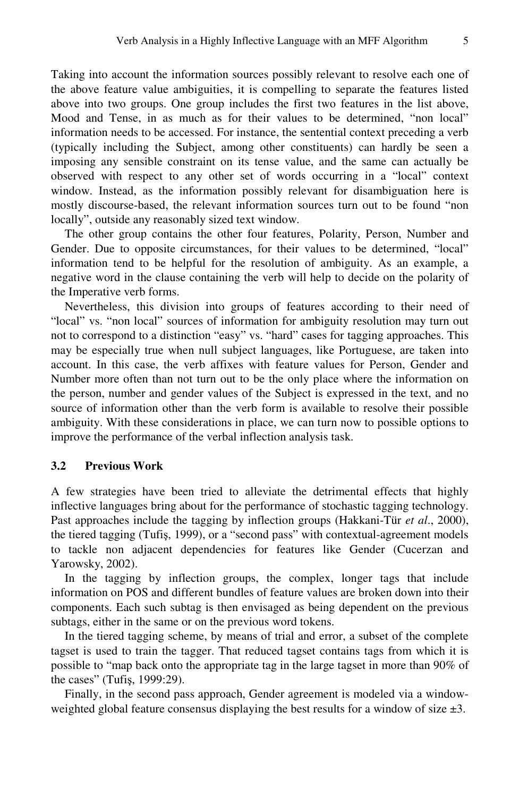Taking into account the information sources possibly relevant to resolve each one of the above feature value ambiguities, it is compelling to separate the features listed above into two groups. One group includes the first two features in the list above, Mood and Tense, in as much as for their values to be determined, "non local" information needs to be accessed. For instance, the sentential context preceding a verb (typically including the Subject, among other constituents) can hardly be seen a imposing any sensible constraint on its tense value, and the same can actually be observed with respect to any other set of words occurring in a "local" context window. Instead, as the information possibly relevant for disambiguation here is mostly discourse-based, the relevant information sources turn out to be found "non locally", outside any reasonably sized text window.

The other group contains the other four features, Polarity, Person, Number and Gender. Due to opposite circumstances, for their values to be determined, "local" information tend to be helpful for the resolution of ambiguity. As an example, a negative word in the clause containing the verb will help to decide on the polarity of the Imperative verb forms.

Nevertheless, this division into groups of features according to their need of "local" vs. "non local" sources of information for ambiguity resolution may turn out not to correspond to a distinction "easy" vs. "hard" cases for tagging approaches. This may be especially true when null subject languages, like Portuguese, are taken into account. In this case, the verb affixes with feature values for Person, Gender and Number more often than not turn out to be the only place where the information on the person, number and gender values of the Subject is expressed in the text, and no source of information other than the verb form is available to resolve their possible ambiguity. With these considerations in place, we can turn now to possible options to improve the performance of the verbal inflection analysis task.

#### **3.2 Previous Work**

A few strategies have been tried to alleviate the detrimental effects that highly inflective languages bring about for the performance of stochastic tagging technology. Past approaches include the tagging by inflection groups (Hakkani-Tür *et al*., 2000), the tiered tagging (Tufiş, 1999), or a "second pass" with contextual-agreement models to tackle non adjacent dependencies for features like Gender (Cucerzan and Yarowsky, 2002).

In the tagging by inflection groups, the complex, longer tags that include information on POS and different bundles of feature values are broken down into their components. Each such subtag is then envisaged as being dependent on the previous subtags, either in the same or on the previous word tokens.

In the tiered tagging scheme, by means of trial and error, a subset of the complete tagset is used to train the tagger. That reduced tagset contains tags from which it is possible to "map back onto the appropriate tag in the large tagset in more than 90% of the cases" (Tufiş, 1999:29).

Finally, in the second pass approach, Gender agreement is modeled via a windowweighted global feature consensus displaying the best results for a window of size  $\pm 3$ .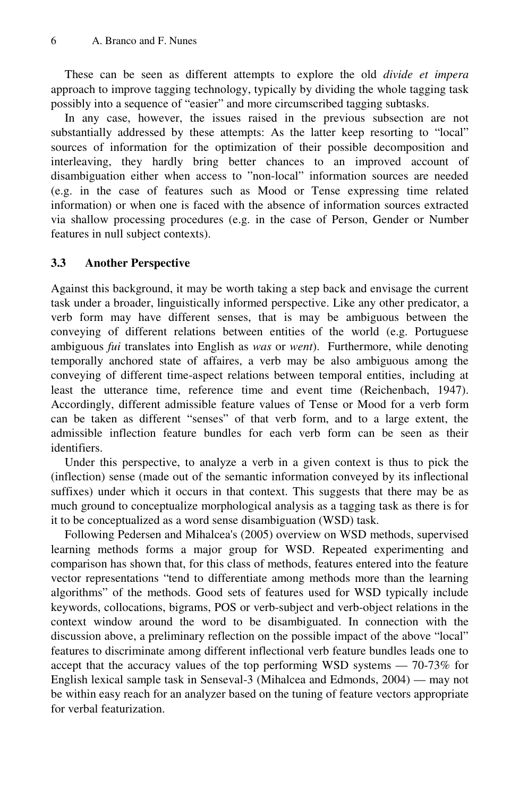These can be seen as different attempts to explore the old *divide et impera* approach to improve tagging technology, typically by dividing the whole tagging task possibly into a sequence of "easier" and more circumscribed tagging subtasks.

In any case, however, the issues raised in the previous subsection are not substantially addressed by these attempts: As the latter keep resorting to "local" sources of information for the optimization of their possible decomposition and interleaving, they hardly bring better chances to an improved account of disambiguation either when access to "non-local" information sources are needed (e.g. in the case of features such as Mood or Tense expressing time related information) or when one is faced with the absence of information sources extracted via shallow processing procedures (e.g. in the case of Person, Gender or Number features in null subject contexts).

### **3.3 Another Perspective**

Against this background, it may be worth taking a step back and envisage the current task under a broader, linguistically informed perspective. Like any other predicator, a verb form may have different senses, that is may be ambiguous between the conveying of different relations between entities of the world (e.g. Portuguese ambiguous *fui* translates into English as *was* or *went*). Furthermore, while denoting temporally anchored state of affaires, a verb may be also ambiguous among the conveying of different time-aspect relations between temporal entities, including at least the utterance time, reference time and event time (Reichenbach, 1947). Accordingly, different admissible feature values of Tense or Mood for a verb form can be taken as different "senses" of that verb form, and to a large extent, the admissible inflection feature bundles for each verb form can be seen as their identifiers.

Under this perspective, to analyze a verb in a given context is thus to pick the (inflection) sense (made out of the semantic information conveyed by its inflectional suffixes) under which it occurs in that context. This suggests that there may be as much ground to conceptualize morphological analysis as a tagging task as there is for it to be conceptualized as a word sense disambiguation (WSD) task.

Following Pedersen and Mihalcea's (2005) overview on WSD methods, supervised learning methods forms a major group for WSD. Repeated experimenting and comparison has shown that, for this class of methods, features entered into the feature vector representations "tend to differentiate among methods more than the learning algorithms" of the methods. Good sets of features used for WSD typically include keywords, collocations, bigrams, POS or verb-subject and verb-object relations in the context window around the word to be disambiguated. In connection with the discussion above, a preliminary reflection on the possible impact of the above "local" features to discriminate among different inflectional verb feature bundles leads one to accept that the accuracy values of the top performing WSD systems — 70-73% for English lexical sample task in Senseval-3 (Mihalcea and Edmonds, 2004) — may not be within easy reach for an analyzer based on the tuning of feature vectors appropriate for verbal featurization.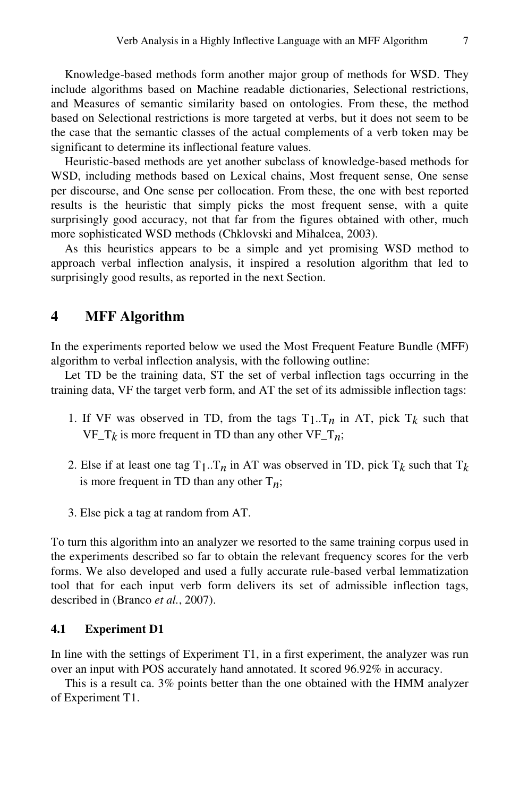Knowledge-based methods form another major group of methods for WSD. They include algorithms based on Machine readable dictionaries, Selectional restrictions, and Measures of semantic similarity based on ontologies. From these, the method based on Selectional restrictions is more targeted at verbs, but it does not seem to be the case that the semantic classes of the actual complements of a verb token may be significant to determine its inflectional feature values.

Heuristic-based methods are yet another subclass of knowledge-based methods for WSD, including methods based on Lexical chains, Most frequent sense, One sense per discourse, and One sense per collocation. From these, the one with best reported results is the heuristic that simply picks the most frequent sense, with a quite surprisingly good accuracy, not that far from the figures obtained with other, much more sophisticated WSD methods (Chklovski and Mihalcea, 2003).

As this heuristics appears to be a simple and yet promising WSD method to approach verbal inflection analysis, it inspired a resolution algorithm that led to surprisingly good results, as reported in the next Section.

## **4 MFF Algorithm**

In the experiments reported below we used the Most Frequent Feature Bundle (MFF) algorithm to verbal inflection analysis, with the following outline:

Let TD be the training data, ST the set of verbal inflection tags occurring in the training data, VF the target verb form, and AT the set of its admissible inflection tags:

- 1. If VF was observed in TD, from the tags  $T_1...T_n$  in AT, pick  $T_k$  such that  $VF_T_k$  is more frequent in TD than any other  $VF_T_n$ ;
- 2. Else if at least one tag  $T_1 \cdot T_n$  in AT was observed in TD, pick  $T_k$  such that  $T_k$ is more frequent in TD than any other  $T_n$ ;
- 3. Else pick a tag at random from AT.

To turn this algorithm into an analyzer we resorted to the same training corpus used in the experiments described so far to obtain the relevant frequency scores for the verb forms. We also developed and used a fully accurate rule-based verbal lemmatization tool that for each input verb form delivers its set of admissible inflection tags, described in (Branco *et al.*, 2007).

#### **4.1 Experiment D1**

In line with the settings of Experiment T1, in a first experiment, the analyzer was run over an input with POS accurately hand annotated. It scored 96.92% in accuracy.

This is a result ca. 3% points better than the one obtained with the HMM analyzer of Experiment T1.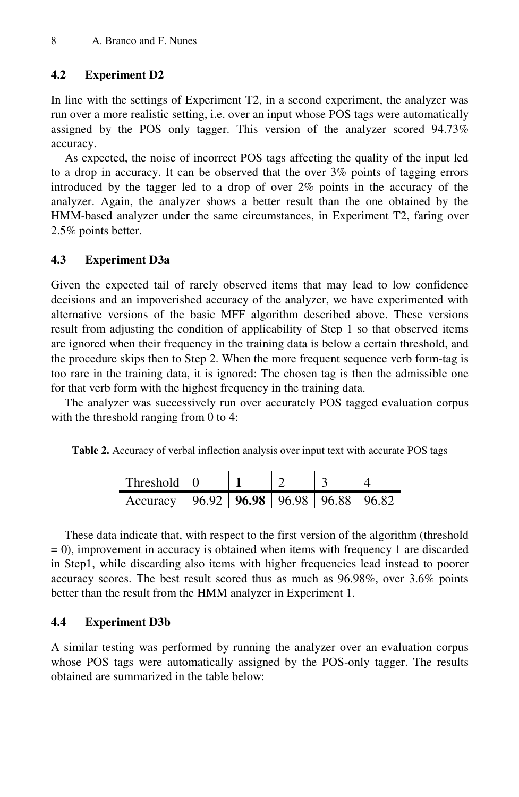## **4.2 Experiment D2**

In line with the settings of Experiment T2, in a second experiment, the analyzer was run over a more realistic setting, i.e. over an input whose POS tags were automatically assigned by the POS only tagger. This version of the analyzer scored 94.73% accuracy.

As expected, the noise of incorrect POS tags affecting the quality of the input led to a drop in accuracy. It can be observed that the over 3% points of tagging errors introduced by the tagger led to a drop of over 2% points in the accuracy of the analyzer. Again, the analyzer shows a better result than the one obtained by the HMM-based analyzer under the same circumstances, in Experiment T2, faring over 2.5% points better.

### **4.3 Experiment D3a**

Given the expected tail of rarely observed items that may lead to low confidence decisions and an impoverished accuracy of the analyzer, we have experimented with alternative versions of the basic MFF algorithm described above. These versions result from adjusting the condition of applicability of Step 1 so that observed items are ignored when their frequency in the training data is below a certain threshold, and the procedure skips then to Step 2. When the more frequent sequence verb form-tag is too rare in the training data, it is ignored: The chosen tag is then the admissible one for that verb form with the highest frequency in the training data.

The analyzer was successively run over accurately POS tagged evaluation corpus with the threshold ranging from 0 to 4:

**Table 2.** Accuracy of verbal inflection analysis over input text with accurate POS tags

| Threshold $\vert 0 \vert$                        |  |  |  |
|--------------------------------------------------|--|--|--|
| Accuracy   96.92   96.98   96.98   96.88   96.82 |  |  |  |

These data indicate that, with respect to the first version of the algorithm (threshold  $= 0$ ), improvement in accuracy is obtained when items with frequency 1 are discarded in Step1, while discarding also items with higher frequencies lead instead to poorer accuracy scores. The best result scored thus as much as 96.98%, over 3.6% points better than the result from the HMM analyzer in Experiment 1.

### **4.4 Experiment D3b**

A similar testing was performed by running the analyzer over an evaluation corpus whose POS tags were automatically assigned by the POS-only tagger. The results obtained are summarized in the table below: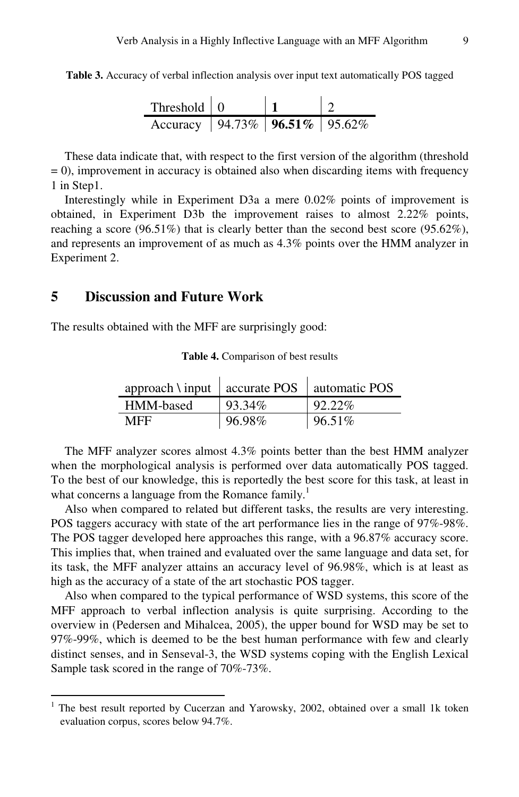**Table 3.** Accuracy of verbal inflection analysis over input text automatically POS tagged

| Threshold $\vert 0 \vert$                                      |  |  |
|----------------------------------------------------------------|--|--|
| $\overline{\text{Accuracy}}$   94.73%   <b>96.51%</b>   95.62% |  |  |

These data indicate that, with respect to the first version of the algorithm (threshold = 0), improvement in accuracy is obtained also when discarding items with frequency 1 in Step1.

Interestingly while in Experiment D3a a mere 0.02% points of improvement is obtained, in Experiment D3b the improvement raises to almost 2.22% points, reaching a score  $(96.51\%)$  that is clearly better than the second best score  $(95.62\%)$ , and represents an improvement of as much as 4.3% points over the HMM analyzer in Experiment 2.

### **5 Discussion and Future Work**

-

The results obtained with the MFF are surprisingly good:

| approach \ input   accurate $POS$ |        | automatic POS |
|-----------------------------------|--------|---------------|
| HMM-based                         | 93.34% | 92.22%        |
| <b>MFF</b>                        | 96.98% | 96.51%        |

**Table 4.** Comparison of best results

The MFF analyzer scores almost 4.3% points better than the best HMM analyzer when the morphological analysis is performed over data automatically POS tagged. To the best of our knowledge, this is reportedly the best score for this task, at least in what concerns a language from the Romance family.<sup>1</sup>

Also when compared to related but different tasks, the results are very interesting. POS taggers accuracy with state of the art performance lies in the range of 97%-98%. The POS tagger developed here approaches this range, with a 96.87% accuracy score. This implies that, when trained and evaluated over the same language and data set, for its task, the MFF analyzer attains an accuracy level of 96.98%, which is at least as high as the accuracy of a state of the art stochastic POS tagger.

Also when compared to the typical performance of WSD systems, this score of the MFF approach to verbal inflection analysis is quite surprising. According to the overview in (Pedersen and Mihalcea, 2005), the upper bound for WSD may be set to 97%-99%, which is deemed to be the best human performance with few and clearly distinct senses, and in Senseval-3, the WSD systems coping with the English Lexical Sample task scored in the range of 70%-73%.

<sup>&</sup>lt;sup>1</sup> The best result reported by Cucerzan and Yarowsky, 2002, obtained over a small 1k token evaluation corpus, scores below 94.7%.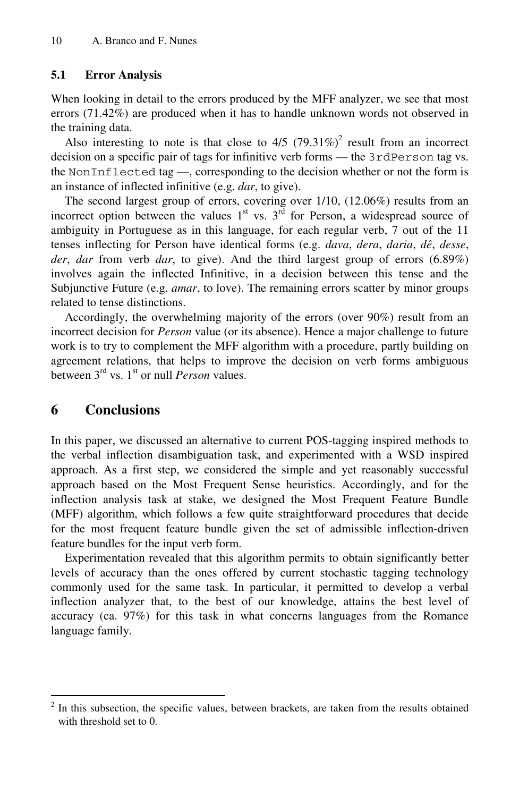## **5.1 Error Analysis**

When looking in detail to the errors produced by the MFF analyzer, we see that most errors (71.42%) are produced when it has to handle unknown words not observed in the training data.

Also interesting to note is that close to  $4/5$  (79.31%)<sup>2</sup> result from an incorrect decision on a specific pair of tags for infinitive verb forms — the 3rdPerson tag vs. the NonInflected tag —, corresponding to the decision whether or not the form is an instance of inflected infinitive (e.g. *dar*, to give).

The second largest group of errors, covering over 1/10, (12.06%) results from an incorrect option between the values  $1<sup>st</sup>$  vs.  $3<sup>rd</sup>$  for Person, a widespread source of ambiguity in Portuguese as in this language, for each regular verb, 7 out of the 11 tenses inflecting for Person have identical forms (e.g. *dava*, *dera*, *daria*, *dê*, *desse*, *der*, *dar* from verb *dar*, to give). And the third largest group of errors (6.89%) involves again the inflected Infinitive, in a decision between this tense and the Subjunctive Future (e.g. *amar*, to love). The remaining errors scatter by minor groups related to tense distinctions.

Accordingly, the overwhelming majority of the errors (over 90%) result from an incorrect decision for *Person* value (or its absence). Hence a major challenge to future work is to try to complement the MFF algorithm with a procedure, partly building on agreement relations, that helps to improve the decision on verb forms ambiguous between 3rd vs. 1st or null *Person* values.

# **6 Conclusions**

-

In this paper, we discussed an alternative to current POS-tagging inspired methods to the verbal inflection disambiguation task, and experimented with a WSD inspired approach. As a first step, we considered the simple and yet reasonably successful approach based on the Most Frequent Sense heuristics. Accordingly, and for the inflection analysis task at stake, we designed the Most Frequent Feature Bundle (MFF) algorithm, which follows a few quite straightforward procedures that decide for the most frequent feature bundle given the set of admissible inflection-driven feature bundles for the input verb form.

Experimentation revealed that this algorithm permits to obtain significantly better levels of accuracy than the ones offered by current stochastic tagging technology commonly used for the same task. In particular, it permitted to develop a verbal inflection analyzer that, to the best of our knowledge, attains the best level of accuracy (ca. 97%) for this task in what concerns languages from the Romance language family.

 $2$  In this subsection, the specific values, between brackets, are taken from the results obtained with threshold set to 0.